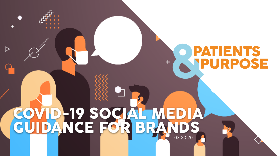# **IENTS** URPOSE

# COVID-19 SOCIAL MEDIA GUIDANCE FOR BRANDS 03.20.20

▷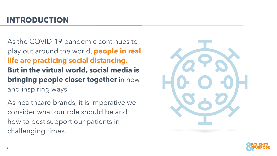# INTRODUCTION

As the COVID-19 pandemic continues to play out around the world, **people in real life are practicing social distancing. But in the virtual world, social media is bringing people closer together** in new and inspiring ways.

As healthcare brands, it is imperative we consider what our role should be and how to best support our patients in challenging times.



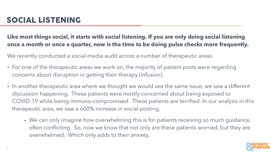#### **Like most things social, it starts with social listening. If you are only doing social listening once a month or once a quarter, now is the time to be doing pulse checks more frequently.**

We recently conducted a social media audit across a number of therapeutic areas.

- **•** For one of the therapeutic areas we work on, the majority of patient posts were regarding concerns about disruption in getting their therapy (infusion).
- **•** In another therapeutic area where we thought we would see the same issue, we saw a different discussion happening. These patients were mostly concerned about being exposed to COVID-19 while being immuno-compromised. These patients are terrified. In our analysis in this therapeutic area, we saw a 600% increase in social posting.
	- **-** We can only imagine how overwhelming this is for patients receiving so much guidance, often conflicting. So, now we know that not only are these patients worried, but they are overwhelmed. Which only adds to their anxiety.

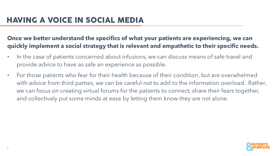**Once we better understand the specifics of what your patients are experiencing, we can quickly implement a social strategy that is relevant and empathetic to their specific needs.** 

- **•** In the case of patients concerned about infusions, we can discuss means of safe travel and provide advice to have as safe an experience as possible.
- **•** For those patients who fear for their health because of their condition, but are overwhelmed with advice from third parties, we can be careful not to add to the information overload. Rather, we can focus on creating virtual forums for the patients to connect, share their fears together, and collectively put some minds at ease by letting them know they are not alone.

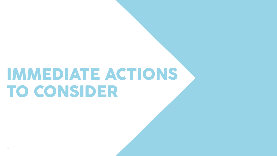# IMMEDIATE ACTIONS TO CONSIDER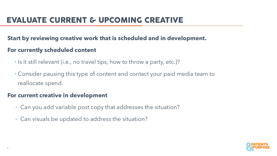#### **Start by reviewing creative work that is scheduled and in development.**

#### **For currently scheduled content**

- Is it still relevant (i.e., no travel tips, how to throw a party, etc.)?
- Consider pausing this type of content and contact your paid media team to reallocate spend.

#### **For current creative in development**

- Can you add variable post copy that addresses the situation?
- Can visuals be updated to address the situation?

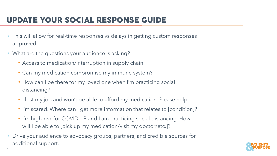## UPDATE YOUR SOCIAL RESPONSE GUIDE

- This will allow for real-time responses vs delays in getting custom responses approved.
- What are the questions your audience is asking?

7

- Access to medication/interruption in supply chain.
- Can my medication compromise my immune system?
- How can I be there for my loved one when I'm practicing social distancing?
- I lost my job and won't be able to afford my medication. Please help.
- I'm scared. Where can I get more information that relates to [condition]?
- I'm high-risk for COVID-19 and I am practicing social distancing. How will I be able to [pick up my medication/visit my doctor/etc.]?
- Drive your audience to advocacy groups, partners, and credible sources for additional support.

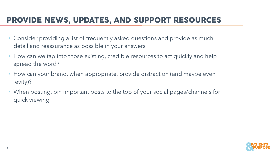## PROVIDE NEWS, UPDATES, AND SUPPORT RESOURCES

- Consider providing a list of frequently asked questions and provide as much detail and reassurance as possible in your answers
- How can we tap into those existing, credible resources to act quickly and help spread the word?
- How can your brand, when appropriate, provide distraction (and maybe even levity)?
- When posting, pin important posts to the top of your social pages/channels for quick viewing

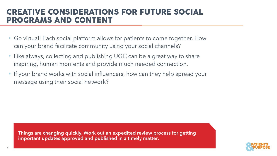### CREATIVE CONSIDERATIONS FOR FUTURE SOCIAL PROGRAMS AND CONTENT

- Go virtual! Each social platform allows for patients to come together. How can your brand facilitate community using your social channels?
- Like always, collecting and publishing UGC can be a great way to share inspiring, human moments and provide much needed connection.
- If your brand works with social influencers, how can they help spread your message using their social network?

**Things are changing quickly. Work out an expedited review process for getting important updates approved and published in a timely matter.** 

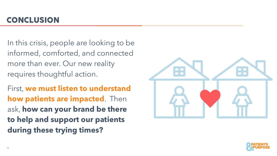In this crisis, people are looking to be informed, comforted, and connected more than ever. Our new reality requires thoughtful action.

First, **we must listen to understand how patients are impacted**. Then ask, **how can your brand be there to help and support our patients during these trying times?**